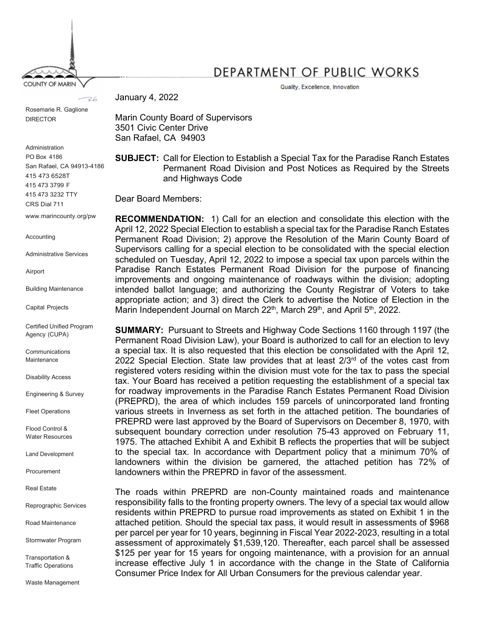COUNTY OF MARIN

## DEPARTMENT OF PUBLIC WORKS

Quality, Excellence, Innovation

January 4, 2022  $R6$ 

Rosemarie R. Gaglione DIRECTOR

Administration PO Box 4186 San Rafael, CA 94913-4186 415 473 6528T 415 473 3799 F 415 473 3232 TTY CRS Dial 711

www.marincounty.org/pw

Accounting

Administrative Services

Airport

Building Maintenance

Capital Projects

Certified Unified Program Agency (CUPA)

**Communications Maintenance** 

Disability Access

Engineering & Survey

Fleet Operations

Flood Control & Water Resources

Land Development

Procurement

Real Estate

Reprographic Services

Road Maintenance

Stormwater Program

Transportation & Traffic Operations

Waste Management

Marin County Board of Supervisors 3501 Civic Center Drive San Rafael, CA 94903

**SUBJECT:** Call for Election to Establish a Special Tax for the Paradise Ranch Estates Permanent Road Division and Post Notices as Required by the Streets and Highways Code

Dear Board Members:

**RECOMMENDATION:** 1) Call for an election and consolidate this election with the April 12, 2022 Special Election to establish a special tax for the Paradise Ranch Estates Permanent Road Division; 2) approve the Resolution of the Marin County Board of Supervisors calling for a special election to be consolidated with the special election scheduled on Tuesday, April 12, 2022 to impose a special tax upon parcels within the Paradise Ranch Estates Permanent Road Division for the purpose of financing improvements and ongoing maintenance of roadways within the division; adopting intended ballot language; and authorizing the County Registrar of Voters to take appropriate action; and 3) direct the Clerk to advertise the Notice of Election in the Marin Independent Journal on March 22<sup>th</sup>, March 29<sup>th</sup>, and April 5<sup>th</sup>, 2022.

**SUMMARY:** Pursuant to Streets and Highway Code Sections 1160 through 1197 (the Permanent Road Division Law), your Board is authorized to call for an election to levy a special tax. It is also requested that this election be consolidated with the April 12, 2022 Special Election. State law provides that at least  $2/3<sup>rd</sup>$  of the votes cast from registered voters residing within the division must vote for the tax to pass the special tax. Your Board has received a petition requesting the establishment of a special tax for roadway improvements in the Paradise Ranch Estates Permanent Road Division (PREPRD), the area of which includes 159 parcels of unincorporated land fronting various streets in Inverness as set forth in the attached petition. The boundaries of PREPRD were last approved by the Board of Supervisors on December 8, 1970, with subsequent boundary correction under resolution 75-43 approved on February 11, 1975. The attached Exhibit A and Exhibit B reflects the properties that will be subject to the special tax. In accordance with Department policy that a minimum 70% of landowners within the division be garnered, the attached petition has 72% of landowners within the PREPRD in favor of the assessment.

The roads within PREPRD are non-County maintained roads and maintenance responsibility falls to the fronting property owners. The levy of a special tax would allow residents within PREPRD to pursue road improvements as stated on Exhibit 1 in the attached petition. Should the special tax pass, it would result in assessments of \$968 per parcel per year for 10 years, beginning in Fiscal Year 2022-2023, resulting in a total assessment of approximately \$1,539,120. Thereafter, each parcel shall be assessed \$125 per year for 15 years for ongoing maintenance, with a provision for an annual increase effective July 1 in accordance with the change in the State of California Consumer Price Index for All Urban Consumers for the previous calendar year.